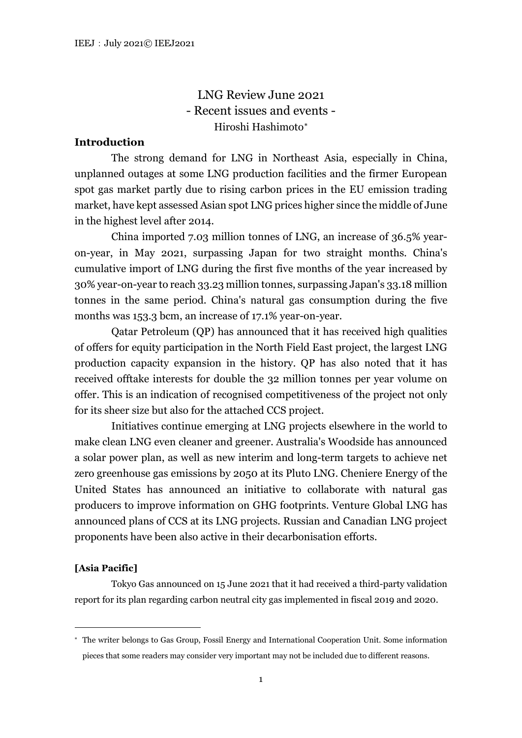LNG Review June 2021 - Recent issues and events - Hiroshi Hashimoto[∗](#page-0-0)

# **Introduction**

The strong demand for LNG in Northeast Asia, especially in China, unplanned outages at some LNG production facilities and the firmer European spot gas market partly due to rising carbon prices in the EU emission trading market, have kept assessed Asian spot LNG prices higher since the middle of June in the highest level after 2014.

China imported 7.03 million tonnes of LNG, an increase of 36.5% yearon-year, in May 2021, surpassing Japan for two straight months. China's cumulative import of LNG during the first five months of the year increased by 30% year-on-year to reach 33.23 million tonnes, surpassing Japan's 33.18 million tonnes in the same period. China's natural gas consumption during the five months was 153.3 bcm, an increase of 17.1% year-on-year.

Qatar Petroleum (QP) has announced that it has received high qualities of offers for equity participation in the North Field East project, the largest LNG production capacity expansion in the history. QP has also noted that it has received offtake interests for double the 32 million tonnes per year volume on offer. This is an indication of recognised competitiveness of the project not only for its sheer size but also for the attached CCS project.

Initiatives continue emerging at LNG projects elsewhere in the world to make clean LNG even cleaner and greener. Australia's Woodside has announced a solar power plan, as well as new interim and long-term targets to achieve net zero greenhouse gas emissions by 2050 at its Pluto LNG. Cheniere Energy of the United States has announced an initiative to collaborate with natural gas producers to improve information on GHG footprints. Venture Global LNG has announced plans of CCS at its LNG projects. Russian and Canadian LNG project proponents have been also active in their decarbonisation efforts.

### **[Asia Pacific]**

Tokyo Gas announced on 15 June 2021 that it had received a third-party validation report for its plan regarding carbon neutral city gas implemented in fiscal 2019 and 2020.

<span id="page-0-0"></span><sup>∗</sup> The writer belongs to Gas Group, Fossil Energy and International Cooperation Unit. Some information pieces that some readers may consider very important may not be included due to different reasons.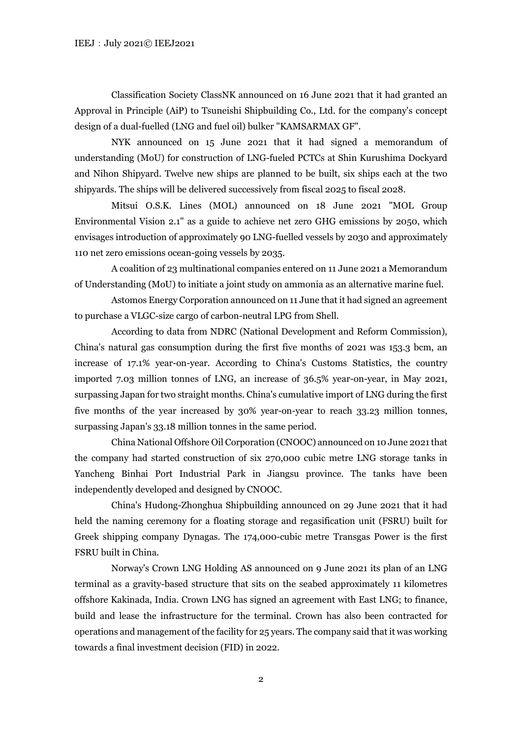Classification Society ClassNK announced on 16 June 2021 that it had granted an Approval in Principle (AiP) to Tsuneishi Shipbuilding Co., Ltd. for the company's concept design of a dual-fuelled (LNG and fuel oil) bulker "KAMSARMAX GF".

NYK announced on 15 June 2021 that it had signed a memorandum of understanding (MoU) for construction of LNG-fueled PCTCs at Shin Kurushima Dockyard and Nihon Shipyard. Twelve new ships are planned to be built, six ships each at the two shipyards. The ships will be delivered successively from fiscal 2025 to fiscal 2028.

Mitsui O.S.K. Lines (MOL) announced on 18 June 2021 "MOL Group Environmental Vision 2.1" as a guide to achieve net zero GHG emissions by 2050, which envisages introduction of approximately 90 LNG-fuelled vessels by 2030 and approximately 110 net zero emissions ocean-going vessels by 2035.

A coalition of 23 multinational companies entered on 11 June 2021 a Memorandum of Understanding (MoU) to initiate a joint study on ammonia as an alternative marine fuel.

Astomos Energy Corporation announced on 11 June that it had signed an agreement to purchase a VLGC-size cargo of carbon-neutral LPG from Shell.

According to data from NDRC (National Development and Reform Commission), China's natural gas consumption during the first five months of 2021 was 153.3 bcm, an increase of 17.1% year-on-year. According to China's Customs Statistics, the country imported 7.03 million tonnes of LNG, an increase of 36.5% year-on-year, in May 2021, surpassing Japan for two straight months. China's cumulative import of LNG during the first five months of the year increased by 30% year-on-year to reach 33.23 million tonnes, surpassing Japan's 33.18 million tonnes in the same period.

China National Offshore Oil Corporation (CNOOC) announced on 10 June 2021 that the company had started construction of six 270,000 cubic metre LNG storage tanks in Yancheng Binhai Port Industrial Park in Jiangsu province. The tanks have been independently developed and designed by CNOOC.

China's Hudong-Zhonghua Shipbuilding announced on 29 June 2021 that it had held the naming ceremony for a floating storage and regasification unit (FSRU) built for Greek shipping company Dynagas. The 174,000-cubic metre Transgas Power is the first FSRU built in China.

Norway's Crown LNG Holding AS announced on 9 June 2021 its plan of an LNG terminal as a gravity-based structure that sits on the seabed approximately 11 kilometres offshore Kakinada, India. Crown LNG has signed an agreement with East LNG; to finance, build and lease the infrastructure for the terminal. Crown has also been contracted for operations and management of the facility for 25 years. The company said that it was working towards a final investment decision (FID) in 2022.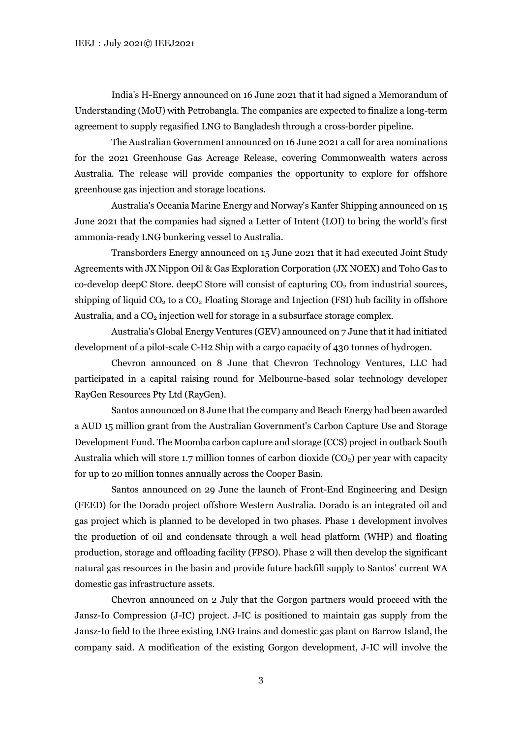India's H-Energy announced on 16 June 2021 that it had signed a Memorandum of Understanding (MoU) with Petrobangla. The companies are expected to finalize a long-term agreement to supply regasified LNG to Bangladesh through a cross-border pipeline.

The Australian Government announced on 16 June 2021 a call for area nominations for the 2021 Greenhouse Gas Acreage Release, covering Commonwealth waters across Australia. The release will provide companies the opportunity to explore for offshore greenhouse gas injection and storage locations.

Australia's Oceania Marine Energy and Norway's Kanfer Shipping announced on 15 June 2021 that the companies had signed a Letter of Intent (LOI) to bring the world's first ammonia-ready LNG bunkering vessel to Australia.

Transborders Energy announced on 15 June 2021 that it had executed Joint Study Agreements with JX Nippon Oil & Gas Exploration Corporation (JX NOEX) and Toho Gas to  $co$ -develop deepC Store. deepC Store will consist of capturing  $CO<sub>2</sub>$  from industrial sources, shipping of liquid  $CO<sub>2</sub>$  to a  $CO<sub>2</sub>$  Floating Storage and Injection (FSI) hub facility in offshore Australia, and a  $CO<sub>2</sub>$  injection well for storage in a subsurface storage complex.

Australia's Global Energy Ventures (GEV) announced on 7 June that it had initiated development of a pilot-scale C-H2 Ship with a cargo capacity of 430 tonnes of hydrogen.

Chevron announced on 8 June that Chevron Technology Ventures, LLC had participated in a capital raising round for Melbourne-based solar technology developer RayGen Resources Pty Ltd (RayGen).

Santos announced on 8 June that the company and Beach Energy had been awarded a AUD 15 million grant from the Australian Government's Carbon Capture Use and Storage Development Fund. The Moomba carbon capture and storage (CCS) project in outback South Australia which will store 1.7 million tonnes of carbon dioxide  $(CO<sub>2</sub>)$  per year with capacity for up to 20 million tonnes annually across the Cooper Basin.

Santos announced on 29 June the launch of Front-End Engineering and Design (FEED) for the Dorado project offshore Western Australia. Dorado is an integrated oil and gas project which is planned to be developed in two phases. Phase 1 development involves the production of oil and condensate through a well head platform (WHP) and floating production, storage and offloading facility (FPSO). Phase 2 will then develop the significant natural gas resources in the basin and provide future backfill supply to Santos' current WA domestic gas infrastructure assets.

Chevron announced on 2 July that the Gorgon partners would proceed with the Jansz-Io Compression (J-IC) project. J-IC is positioned to maintain gas supply from the Jansz-Io field to the three existing LNG trains and domestic gas plant on Barrow Island, the company said. A modification of the existing Gorgon development, J-IC will involve the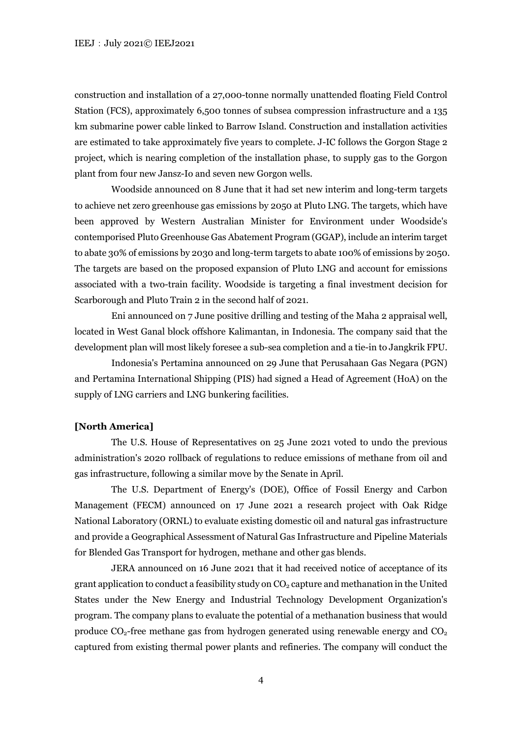construction and installation of a 27,000-tonne normally unattended floating Field Control Station (FCS), approximately 6,500 tonnes of subsea compression infrastructure and a 135 km submarine power cable linked to Barrow Island. Construction and installation activities are estimated to take approximately five years to complete. J-IC follows the Gorgon Stage 2 project, which is nearing completion of the installation phase, to supply gas to the Gorgon plant from four new Jansz-Io and seven new Gorgon wells.

Woodside announced on 8 June that it had set new interim and long-term targets to achieve net zero greenhouse gas emissions by 2050 at Pluto LNG. The targets, which have been approved by Western Australian Minister for Environment under Woodside's contemporised Pluto Greenhouse Gas Abatement Program (GGAP), include an interim target to abate 30% of emissions by 2030 and long-term targets to abate 100% of emissions by 2050. The targets are based on the proposed expansion of Pluto LNG and account for emissions associated with a two-train facility. Woodside is targeting a final investment decision for Scarborough and Pluto Train 2 in the second half of 2021.

Eni announced on 7 June positive drilling and testing of the Maha 2 appraisal well, located in West Ganal block offshore Kalimantan, in Indonesia. The company said that the development plan will most likely foresee a sub-sea completion and a tie-in to Jangkrik FPU.

Indonesia's Pertamina announced on 29 June that Perusahaan Gas Negara (PGN) and Pertamina International Shipping (PIS) had signed a Head of Agreement (HoA) on the supply of LNG carriers and LNG bunkering facilities.

# **[North America]**

The U.S. House of Representatives on 25 June 2021 voted to undo the previous administration's 2020 rollback of regulations to reduce emissions of methane from oil and gas infrastructure, following a similar move by the Senate in April.

The U.S. Department of Energy's (DOE), Office of Fossil Energy and Carbon Management (FECM) announced on 17 June 2021 a research project with Oak Ridge National Laboratory (ORNL) to evaluate existing domestic oil and natural gas infrastructure and provide a Geographical Assessment of Natural Gas Infrastructure and Pipeline Materials for Blended Gas Transport for hydrogen, methane and other gas blends.

JERA announced on 16 June 2021 that it had received notice of acceptance of its grant application to conduct a feasibility study on  $CO<sub>2</sub>$  capture and methanation in the United States under the New Energy and Industrial Technology Development Organization's program. The company plans to evaluate the potential of a methanation business that would produce  $CO_2$ -free methane gas from hydrogen generated using renewable energy and  $CO_2$ captured from existing thermal power plants and refineries. The company will conduct the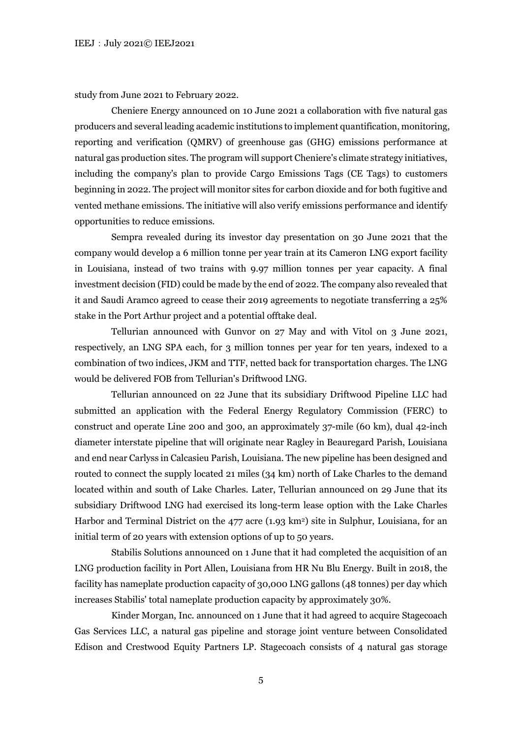study from June 2021 to February 2022.

Cheniere Energy announced on 10 June 2021 a collaboration with five natural gas producers and several leading academic institutions to implement quantification, monitoring, reporting and verification (QMRV) of greenhouse gas (GHG) emissions performance at natural gas production sites. The program will support Cheniere's climate strategy initiatives, including the company's plan to provide Cargo Emissions Tags (CE Tags) to customers beginning in 2022. The project will monitor sites for carbon dioxide and for both fugitive and vented methane emissions. The initiative will also verify emissions performance and identify opportunities to reduce emissions.

Sempra revealed during its investor day presentation on 30 June 2021 that the company would develop a 6 million tonne per year train at its Cameron LNG export facility in Louisiana, instead of two trains with 9.97 million tonnes per year capacity. A final investment decision (FID) could be made by the end of 2022. The company also revealed that it and Saudi Aramco agreed to cease their 2019 agreements to negotiate transferring a 25% stake in the Port Arthur project and a potential offtake deal.

Tellurian announced with Gunvor on 27 May and with Vitol on 3 June 2021, respectively, an LNG SPA each, for 3 million tonnes per year for ten years, indexed to a combination of two indices, JKM and TTF, netted back for transportation charges. The LNG would be delivered FOB from Tellurian's Driftwood LNG.

Tellurian announced on 22 June that its subsidiary Driftwood Pipeline LLC had submitted an application with the Federal Energy Regulatory Commission (FERC) to construct and operate Line 200 and 300, an approximately 37-mile (60 km), dual 42-inch diameter interstate pipeline that will originate near Ragley in Beauregard Parish, Louisiana and end near Carlyss in Calcasieu Parish, Louisiana. The new pipeline has been designed and routed to connect the supply located 21 miles (34 km) north of Lake Charles to the demand located within and south of Lake Charles. Later, Tellurian announced on 29 June that its subsidiary Driftwood LNG had exercised its long-term lease option with the Lake Charles Harbor and Terminal District on the 477 acre  $(1.93 \text{ km}^2)$  site in Sulphur, Louisiana, for an initial term of 20 years with extension options of up to 50 years.

Stabilis Solutions announced on 1 June that it had completed the acquisition of an LNG production facility in Port Allen, Louisiana from HR Nu Blu Energy. Built in 2018, the facility has nameplate production capacity of 30,000 LNG gallons (48 tonnes) per day which increases Stabilis' total nameplate production capacity by approximately 30%.

Kinder Morgan, Inc. announced on 1 June that it had agreed to acquire Stagecoach Gas Services LLC, a natural gas pipeline and storage joint venture between Consolidated Edison and Crestwood Equity Partners LP. Stagecoach consists of 4 natural gas storage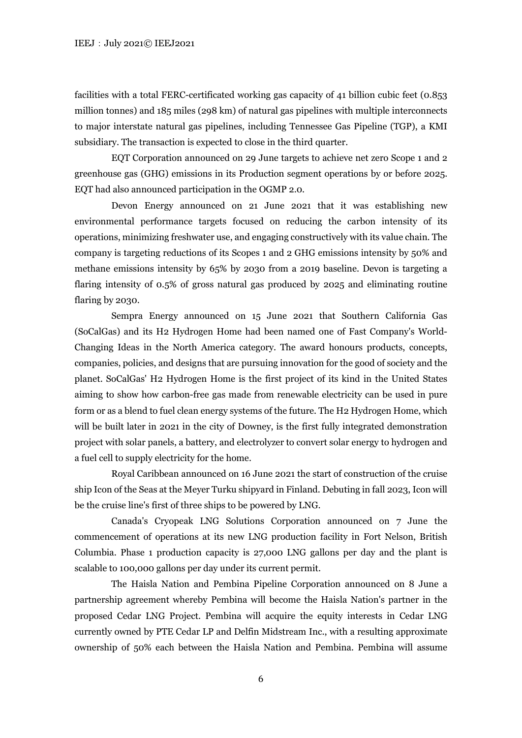facilities with a total FERC-certificated working gas capacity of 41 billion cubic feet (0.853 million tonnes) and 185 miles (298 km) of natural gas pipelines with multiple interconnects to major interstate natural gas pipelines, including Tennessee Gas Pipeline (TGP), a KMI subsidiary. The transaction is expected to close in the third quarter.

EQT Corporation announced on 29 June targets to achieve net zero Scope 1 and 2 greenhouse gas (GHG) emissions in its Production segment operations by or before 2025. EQT had also announced participation in the OGMP 2.0.

Devon Energy announced on 21 June 2021 that it was establishing new environmental performance targets focused on reducing the carbon intensity of its operations, minimizing freshwater use, and engaging constructively with its value chain. The company is targeting reductions of its Scopes 1 and 2 GHG emissions intensity by 50% and methane emissions intensity by 65% by 2030 from a 2019 baseline. Devon is targeting a flaring intensity of 0.5% of gross natural gas produced by 2025 and eliminating routine flaring by 2030.

Sempra Energy announced on 15 June 2021 that Southern California Gas (SoCalGas) and its H2 Hydrogen Home had been named one of Fast Company's World-Changing Ideas in the North America category. The award honours products, concepts, companies, policies, and designs that are pursuing innovation for the good of society and the planet. SoCalGas' H2 Hydrogen Home is the first project of its kind in the United States aiming to show how carbon-free gas made from renewable electricity can be used in pure form or as a blend to fuel clean energy systems of the future. The H2 Hydrogen Home, which will be built later in 2021 in the city of Downey, is the first fully integrated demonstration project with solar panels, a battery, and electrolyzer to convert solar energy to hydrogen and a fuel cell to supply electricity for the home.

Royal Caribbean announced on 16 June 2021 the start of construction of the cruise ship Icon of the Seas at the Meyer Turku shipyard in Finland. Debuting in fall 2023, Icon will be the cruise line's first of three ships to be powered by LNG.

Canada's Cryopeak LNG Solutions Corporation announced on 7 June the commencement of operations at its new LNG production facility in Fort Nelson, British Columbia. Phase 1 production capacity is 27,000 LNG gallons per day and the plant is scalable to 100,000 gallons per day under its current permit.

The Haisla Nation and Pembina Pipeline Corporation announced on 8 June a partnership agreement whereby Pembina will become the Haisla Nation's partner in the proposed Cedar LNG Project. Pembina will acquire the equity interests in Cedar LNG currently owned by PTE Cedar LP and Delfin Midstream Inc., with a resulting approximate ownership of 50% each between the Haisla Nation and Pembina. Pembina will assume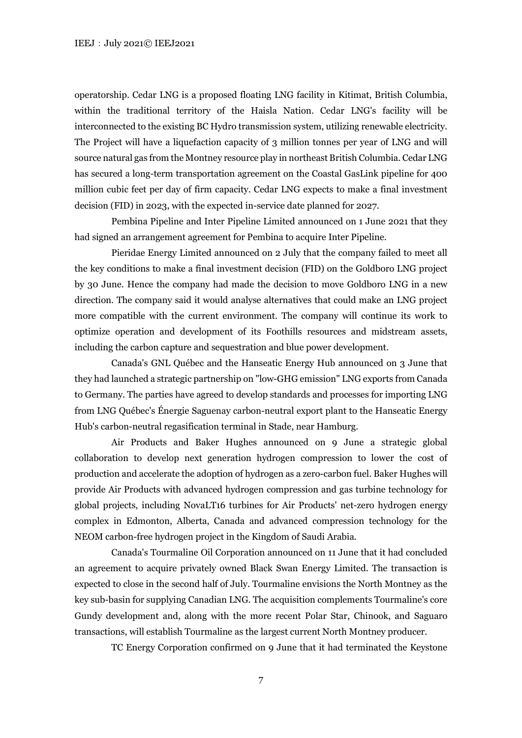operatorship. Cedar LNG is a proposed floating LNG facility in Kitimat, British Columbia, within the traditional territory of the Haisla Nation. Cedar LNG's facility will be interconnected to the existing BC Hydro transmission system, utilizing renewable electricity. The Project will have a liquefaction capacity of 3 million tonnes per year of LNG and will source natural gas from the Montney resource play in northeast British Columbia. Cedar LNG has secured a long-term transportation agreement on the Coastal GasLink pipeline for 400 million cubic feet per day of firm capacity. Cedar LNG expects to make a final investment decision (FID) in 2023, with the expected in-service date planned for 2027.

Pembina Pipeline and Inter Pipeline Limited announced on 1 June 2021 that they had signed an arrangement agreement for Pembina to acquire Inter Pipeline.

Pieridae Energy Limited announced on 2 July that the company failed to meet all the key conditions to make a final investment decision (FID) on the Goldboro LNG project by 30 June. Hence the company had made the decision to move Goldboro LNG in a new direction. The company said it would analyse alternatives that could make an LNG project more compatible with the current environment. The company will continue its work to optimize operation and development of its Foothills resources and midstream assets, including the carbon capture and sequestration and blue power development.

Canada's GNL Québec and the Hanseatic Energy Hub announced on 3 June that they had launched a strategic partnership on "low-GHG emission" LNG exports from Canada to Germany. The parties have agreed to develop standards and processes for importing LNG from LNG Québec's Énergie Saguenay carbon-neutral export plant to the Hanseatic Energy Hub's carbon-neutral regasification terminal in Stade, near Hamburg.

Air Products and Baker Hughes announced on 9 June a strategic global collaboration to develop next generation hydrogen compression to lower the cost of production and accelerate the adoption of hydrogen as a zero-carbon fuel. Baker Hughes will provide Air Products with advanced hydrogen compression and gas turbine technology for global projects, including NovaLT16 turbines for Air Products' net-zero hydrogen energy complex in Edmonton, Alberta, Canada and advanced compression technology for the NEOM carbon-free hydrogen project in the Kingdom of Saudi Arabia.

Canada's Tourmaline Oil Corporation announced on 11 June that it had concluded an agreement to acquire privately owned Black Swan Energy Limited. The transaction is expected to close in the second half of July. Tourmaline envisions the North Montney as the key sub-basin for supplying Canadian LNG. The acquisition complements Tourmaline's core Gundy development and, along with the more recent Polar Star, Chinook, and Saguaro transactions, will establish Tourmaline as the largest current North Montney producer.

TC Energy Corporation confirmed on 9 June that it had terminated the Keystone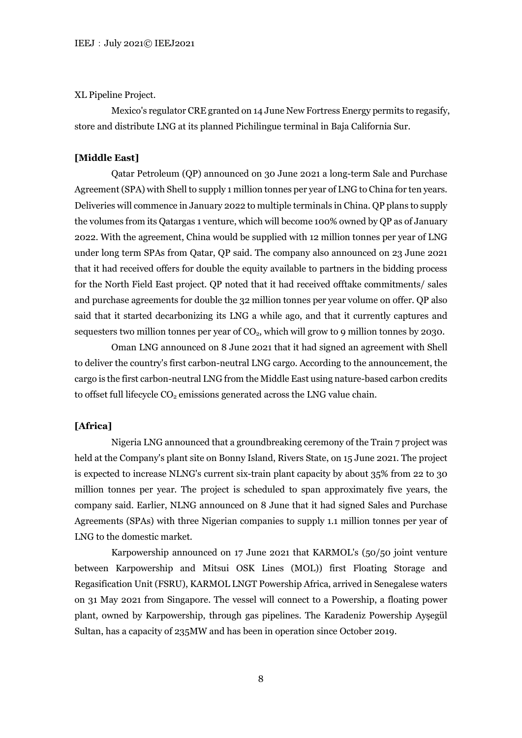#### XL Pipeline Project.

Mexico's regulator CRE granted on 14 June New Fortress Energy permits to regasify, store and distribute LNG at its planned Pichilingue terminal in Baja California Sur.

# **[Middle East]**

Qatar Petroleum (QP) announced on 30 June 2021 a long-term Sale and Purchase Agreement (SPA) with Shell to supply 1 million tonnes per year of LNG to China for ten years. Deliveries will commence in January 2022 to multiple terminals in China. QP plans to supply the volumes from its Qatargas 1 venture, which will become 100% owned by QP as of January 2022. With the agreement, China would be supplied with 12 million tonnes per year of LNG under long term SPAs from Qatar, QP said. The company also announced on 23 June 2021 that it had received offers for double the equity available to partners in the bidding process for the North Field East project. QP noted that it had received offtake commitments/ sales and purchase agreements for double the 32 million tonnes per year volume on offer. QP also said that it started decarbonizing its LNG a while ago, and that it currently captures and sequesters two million tonnes per year of  $CO<sub>2</sub>$ , which will grow to 9 million tonnes by 2030.

Oman LNG announced on 8 June 2021 that it had signed an agreement with Shell to deliver the country's first carbon-neutral LNG cargo. According to the announcement, the cargo is the first carbon-neutral LNG from the Middle East using nature-based carbon credits to offset full lifecycle  $CO<sub>2</sub>$  emissions generated across the LNG value chain.

# **[Africa]**

Nigeria LNG announced that a groundbreaking ceremony of the Train 7 project was held at the Company's plant site on Bonny Island, Rivers State, on 15 June 2021. The project is expected to increase NLNG's current six-train plant capacity by about 35% from 22 to 30 million tonnes per year. The project is scheduled to span approximately five years, the company said. Earlier, NLNG announced on 8 June that it had signed Sales and Purchase Agreements (SPAs) with three Nigerian companies to supply 1.1 million tonnes per year of LNG to the domestic market.

Karpowership announced on 17 June 2021 that KARMOL's (50/50 joint venture between Karpowership and Mitsui OSK Lines (MOL)) first Floating Storage and Regasification Unit (FSRU), KARMOL LNGT Powership Africa, arrived in Senegalese waters on 31 May 2021 from Singapore. The vessel will connect to a Powership, a floating power plant, owned by Karpowership, through gas pipelines. The Karadeniz Powership Ayşegül Sultan, has a capacity of 235MW and has been in operation since October 2019.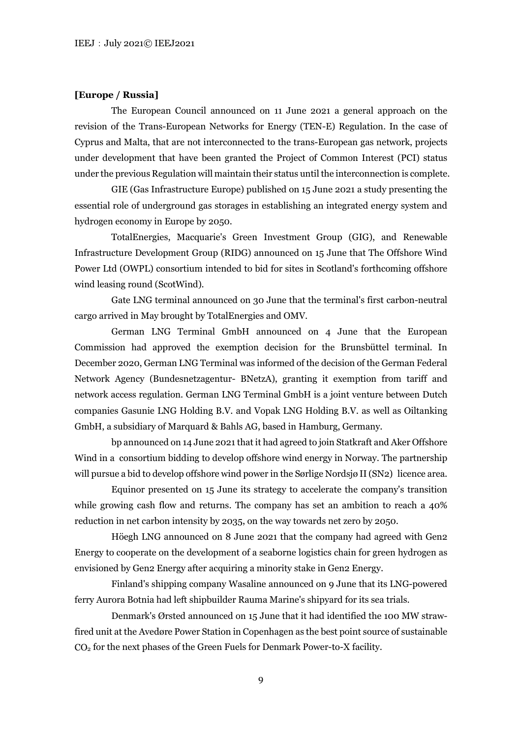### **[Europe / Russia]**

The European Council announced on 11 June 2021 a general approach on the revision of the Trans-European Networks for Energy (TEN-E) Regulation. In the case of Cyprus and Malta, that are not interconnected to the trans-European gas network, projects under development that have been granted the Project of Common Interest (PCI) status under the previous Regulation will maintain their status until the interconnection is complete.

GIE (Gas Infrastructure Europe) published on 15 June 2021 a study presenting the essential role of underground gas storages in establishing an integrated energy system and hydrogen economy in Europe by 2050.

TotalEnergies, Macquarie's Green Investment Group (GIG), and Renewable Infrastructure Development Group (RIDG) announced on 15 June that The Offshore Wind Power Ltd (OWPL) consortium intended to bid for sites in Scotland's forthcoming offshore wind leasing round (ScotWind).

Gate LNG terminal announced on 30 June that the terminal's first carbon-neutral cargo arrived in May brought by TotalEnergies and OMV.

German LNG Terminal GmbH announced on 4 June that the European Commission had approved the exemption decision for the Brunsbüttel terminal. In December 2020, German LNG Terminal was informed of the decision of the German Federal Network Agency (Bundesnetzagentur- BNetzA), granting it exemption from tariff and network access regulation. German LNG Terminal GmbH is a joint venture between Dutch companies Gasunie LNG Holding B.V. and Vopak LNG Holding B.V. as well as Oiltanking GmbH, a subsidiary of Marquard & Bahls AG, based in Hamburg, Germany.

bp announced on 14 June 2021 that it had agreed to join Statkraft and Aker Offshore Wind in a consortium bidding to develop offshore wind energy in Norway. The partnership will pursue a bid to develop offshore wind power in the Sørlige Nordsjø II (SN2) licence area.

Equinor presented on 15 June its strategy to accelerate the company's transition while growing cash flow and returns. The company has set an ambition to reach a 40% reduction in net carbon intensity by 2035, on the way towards net zero by 2050.

Höegh LNG announced on 8 June 2021 that the company had agreed with Gen2 Energy to cooperate on the development of a seaborne logistics chain for green hydrogen as envisioned by Gen2 Energy after acquiring a minority stake in Gen2 Energy.

Finland's shipping company Wasaline announced on 9 June that its LNG-powered ferry Aurora Botnia had left shipbuilder Rauma Marine's shipyard for its sea trials.

Denmark's Ørsted announced on 15 June that it had identified the 100 MW strawfired unit at the Avedøre Power Station in Copenhagen as the best point source of sustainable CO2 for the next phases of the Green Fuels for Denmark Power-to-X facility.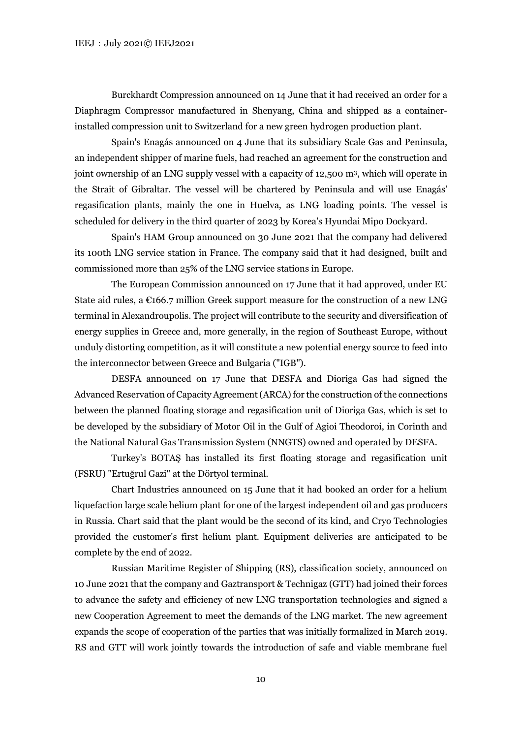Burckhardt Compression announced on 14 June that it had received an order for a Diaphragm Compressor manufactured in Shenyang, China and shipped as a containerinstalled compression unit to Switzerland for a new green hydrogen production plant.

Spain's Enagás announced on 4 June that its subsidiary Scale Gas and Peninsula, an independent shipper of marine fuels, had reached an agreement for the construction and joint ownership of an LNG supply vessel with a capacity of 12,500 m3, which will operate in the Strait of Gibraltar. The vessel will be chartered by Peninsula and will use Enagás' regasification plants, mainly the one in Huelva, as LNG loading points. The vessel is scheduled for delivery in the third quarter of 2023 by Korea's Hyundai Mipo Dockyard.

Spain's HAM Group announced on 30 June 2021 that the company had delivered its 100th LNG service station in France. The company said that it had designed, built and commissioned more than 25% of the LNG service stations in Europe.

The European Commission announced on 17 June that it had approved, under EU State aid rules, a  $\epsilon$ 166.7 million Greek support measure for the construction of a new LNG terminal in Alexandroupolis. The project will contribute to the security and diversification of energy supplies in Greece and, more generally, in the region of Southeast Europe, without unduly distorting competition, as it will constitute a new potential energy source to feed into the interconnector between Greece and Bulgaria ("IGB").

DESFA announced on 17 June that DESFA and Dioriga Gas had signed the Advanced Reservation of Capacity Agreement (ARCA) for the construction of the connections between the planned floating storage and regasification unit of Dioriga Gas, which is set to be developed by the subsidiary of Motor Oil in the Gulf of Agioi Theodoroi, in Corinth and the National Natural Gas Transmission System (NNGTS) owned and operated by DESFA.

Turkey's BOTAŞ has installed its first floating storage and regasification unit (FSRU) "Ertuğrul Gazi" at the Dörtyol terminal.

Chart Industries announced on 15 June that it had booked an order for a helium liquefaction large scale helium plant for one of the largest independent oil and gas producers in Russia. Chart said that the plant would be the second of its kind, and Cryo Technologies provided the customer's first helium plant. Equipment deliveries are anticipated to be complete by the end of 2022.

Russian Maritime Register of Shipping (RS), classification society, announced on 10 June 2021 that the company and Gaztransport & Technigaz (GTT) had joined their forces to advance the safety and efficiency of new LNG transportation technologies and signed a new Cooperation Agreement to meet the demands of the LNG market. The new agreement expands the scope of cooperation of the parties that was initially formalized in March 2019. RS and GTT will work jointly towards the introduction of safe and viable membrane fuel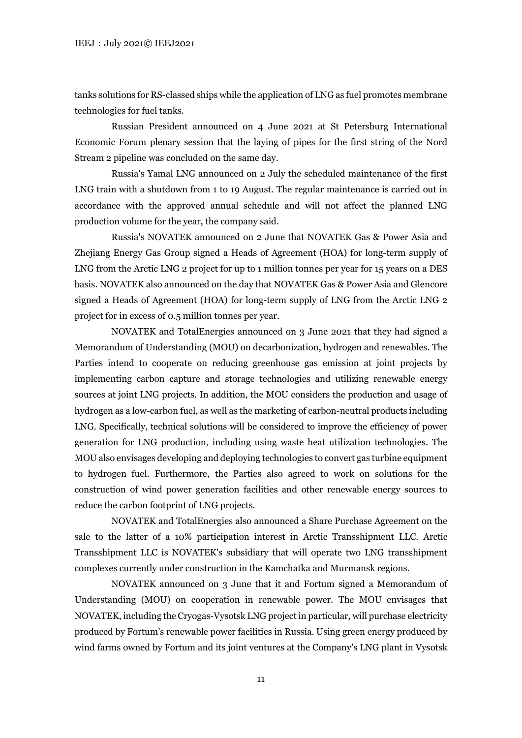tanks solutions for RS-classed ships while the application of LNG as fuel promotes membrane technologies for fuel tanks.

Russian President announced on 4 June 2021 at St Petersburg International Economic Forum plenary session that the laying of pipes for the first string of the Nord Stream 2 pipeline was concluded on the same day.

Russia's Yamal LNG announced on 2 July the scheduled maintenance of the first LNG train with a shutdown from 1 to 19 August. The regular maintenance is carried out in accordance with the approved annual schedule and will not affect the planned LNG production volume for the year, the company said.

Russia's NOVATEK announced on 2 June that NOVATEK Gas & Power Asia and Zhejiang Energy Gas Group signed a Heads of Agreement (HOA) for long-term supply of LNG from the Arctic LNG 2 project for up to 1 million tonnes per year for 15 years on a DES basis. NOVATEK also announced on the day that NOVATEK Gas & Power Asia and Glencore signed a Heads of Agreement (HOA) for long-term supply of LNG from the Arctic LNG 2 project for in excess of 0.5 million tonnes per year.

NOVATEK and TotalEnergies announced on 3 June 2021 that they had signed a Memorandum of Understanding (MOU) on decarbonization, hydrogen and renewables. The Parties intend to cooperate on reducing greenhouse gas emission at joint projects by implementing carbon capture and storage technologies and utilizing renewable energy sources at joint LNG projects. In addition, the MOU considers the production and usage of hydrogen as a low-carbon fuel, as well as the marketing of carbon-neutral products including LNG. Specifically, technical solutions will be considered to improve the efficiency of power generation for LNG production, including using waste heat utilization technologies. The MOU also envisages developing and deploying technologies to convert gas turbine equipment to hydrogen fuel. Furthermore, the Parties also agreed to work on solutions for the construction of wind power generation facilities and other renewable energy sources to reduce the carbon footprint of LNG projects.

NOVATEK and TotalEnergies also announced a Share Purchase Agreement on the sale to the latter of a 10% participation interest in Arctic Transshipment LLC. Arctic Transshipment LLC is NOVATEK's subsidiary that will operate two LNG transshipment complexes currently under construction in the Kamchatka and Murmansk regions.

NOVATEK announced on 3 June that it and Fortum signed a Memorandum of Understanding (MOU) on cooperation in renewable power. The MOU envisages that NOVATEK, including the Cryogas-Vysotsk LNG project in particular, will purchase electricity produced by Fortum's renewable power facilities in Russia. Using green energy produced by wind farms owned by Fortum and its joint ventures at the Company's LNG plant in Vysotsk